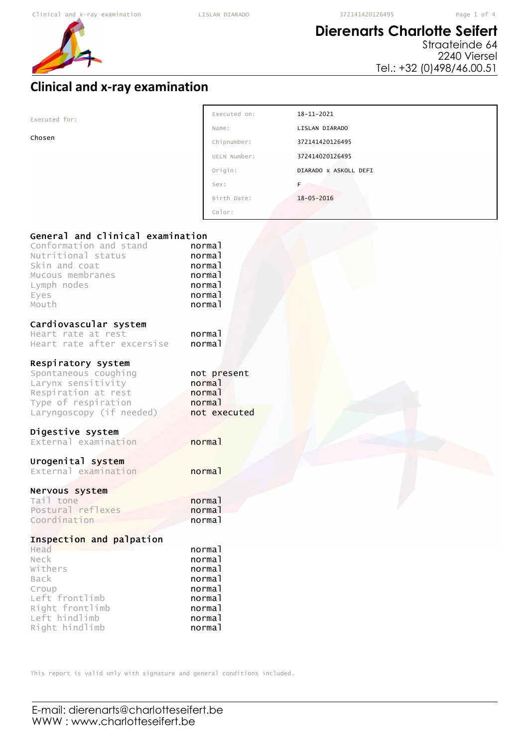## **Dierenarts Charlotte Seifert**

Straateinde 64 2240 Viersel Tel.: +32 (0)498/46.00.51

## **Clinical and x-ray examination**

| Executed for:                                                                                                                                         | Executed on:                                                       | $18 - 11 - 2021$      |
|-------------------------------------------------------------------------------------------------------------------------------------------------------|--------------------------------------------------------------------|-----------------------|
|                                                                                                                                                       | Name:                                                              | LISLAN DIARADO        |
| Chosen                                                                                                                                                | Chipnumber:                                                        | 372141420126495       |
|                                                                                                                                                       | UELN Number:                                                       | 372414020126495       |
|                                                                                                                                                       | Origin:                                                            | DIARADO X ASKOLL DEFI |
|                                                                                                                                                       | Sex:                                                               | F.                    |
|                                                                                                                                                       | Birth Date:                                                        | $18 - 05 - 2016$      |
|                                                                                                                                                       | Color:                                                             |                       |
|                                                                                                                                                       |                                                                    |                       |
| General and clinical examination<br>Conformation and stand<br>Nutritional status<br>Skin and coat<br>Mucous membranes<br>Lymph nodes<br>Eyes<br>Mouth | normal<br>normal<br>normal<br>normal<br>normal<br>normal<br>normal |                       |
| Cardiovascular system<br>Heart rate at rest<br>Heart rate after excersise                                                                             | normal<br>normal                                                   |                       |
| Respiratory system<br>Spontaneous coughing<br>Larynx sensitivity<br>Respiration at rest<br>Type of respiration<br>Laryngoscopy (if needed)            | not present<br>normal<br>normal<br>normal<br>not executed          |                       |
| Digestive system<br>External examination                                                                                                              | normal                                                             |                       |
| Urogenital system<br>External examination                                                                                                             | normal                                                             |                       |

#### Nervous system

| Tail tone         | norma <sub>1</sub> |
|-------------------|--------------------|
| Postural reflexes | norma <sup>1</sup> |
| Coordination      | normal             |

### Inspection and palpation

| Head            | normal |
|-----------------|--------|
| Neck            | normal |
| Withers         | normal |
| Back            | normal |
| Croup           | normal |
| Left frontlimb  | normal |
| Right frontlimb | normal |
| Left hindlimb   | normal |
| Right hindlimb  | normal |

This report is valid only with signature and general conditions included.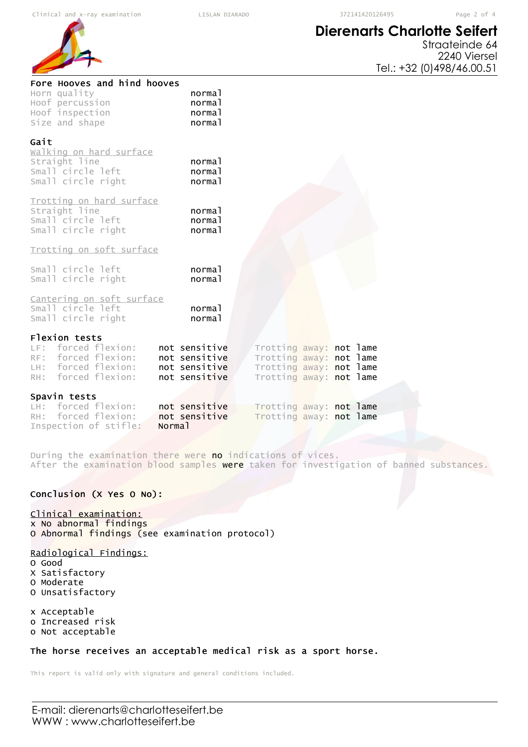Fore Hooves and hind hooves

Horn quality **normal** Hoof percussion **normal** 

# **Dierenarts Charlotte Seifert**



| Hoof inspection<br>Size and shape                                                                         | normal<br>normal                                                 |                                                                                                          |  |
|-----------------------------------------------------------------------------------------------------------|------------------------------------------------------------------|----------------------------------------------------------------------------------------------------------|--|
| Gait<br>walking on hard surface<br>Straight line<br>Small circle left<br>Small circle right               | normal<br>normal<br>normal                                       |                                                                                                          |  |
| Trotting on hard surface<br>Straight line<br>Small circle left<br>Small circle right                      | normal<br>normal<br>normal                                       |                                                                                                          |  |
| Trotting on soft surface                                                                                  |                                                                  |                                                                                                          |  |
| Small circle left<br>Small circle right                                                                   | normal<br>normal                                                 |                                                                                                          |  |
| Cantering on soft surface<br>Small circle left<br>Small circle right                                      | normal<br>normal                                                 |                                                                                                          |  |
| Flexion tests<br>LF: forced flexion:<br>RF: forced flexion:<br>LH: forced flexion:<br>RH: forced flexion: | not sensitive<br>not sensitive<br>not sensitive<br>not sensitive | Trotting away: not lame<br>Trotting away: not lame<br>Trotting away: not lame<br>Trotting away: not lame |  |
| Spavin tests                                                                                              |                                                                  |                                                                                                          |  |
| forced flexion:<br>LH:<br>RH: forced flexion:                                                             | not sensitive<br>not sensitive                                   | Trotting away: not lame<br>Trotting away: not lame                                                       |  |
| Inspection of stifle:                                                                                     | Normal                                                           |                                                                                                          |  |

During the examination there were no indications of vices. After the examination blood samples were taken for investigation of banned substances.

#### Conclusion (X Yes O No):

#### Clinical examination:

x No abnormal findings O Abnormal findings (see examination protocol)

#### Radiological Findings:

- O Good
- X Satisfactory O Moderate
- O Unsatisfactory

x Acceptable o Increased risk

o Not acceptable

### The horse receives an acceptable medical risk as a sport horse.

This report is valid only with signature and general conditions included.

E-mail: dierenarts@charlotteseifert.be WWW : www.charlotteseifert.be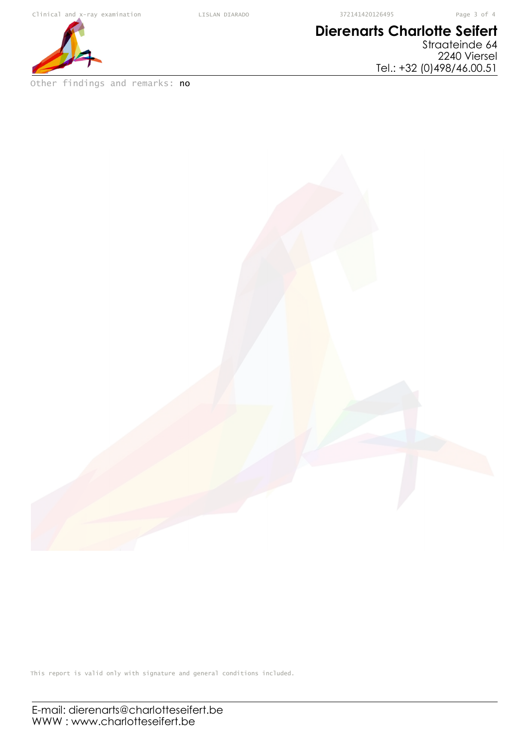# **Dierenarts Charlotte Seifert**

Straateinde 64 2240 Viersel Tel.: +32 (0)498/46.00.51



Other findings and remarks: no

This report is valid only with signature and general conditions included.